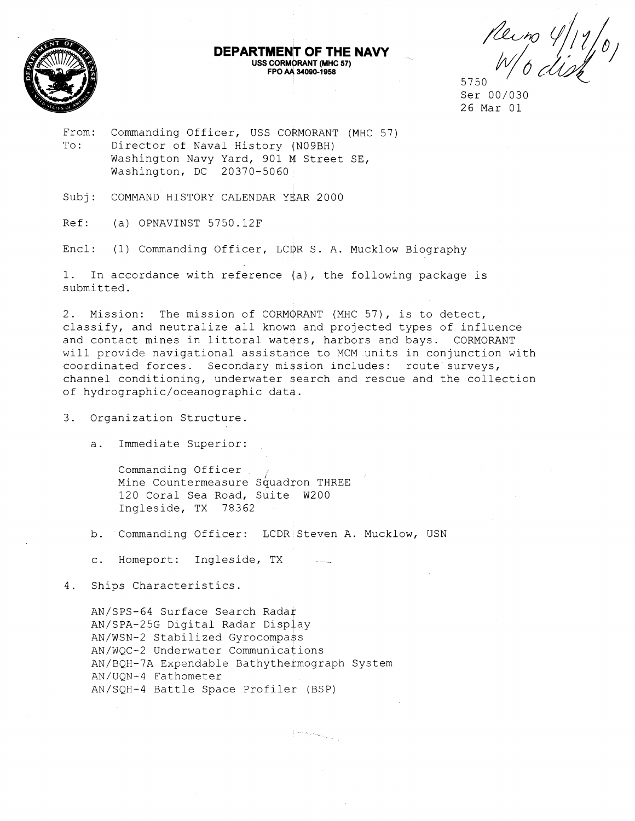

# Peiro 4/11/0 5750

From: Commanding Officer, USS CORMORANT (MHC 57) To: Director of Naval History (N09BH) Washington Navy Yard, 901 M Street SE, Washington, DC 20370-5060

Subj: COMMAND HISTORY CALENDAR YEAR 2000

Ref: (a) OPNAVINST 5750.12F

Encl: (1) Commanding Officer, LCOR S. A. Mucklow Biography

1. In accordance with reference (a), the following package is submitted.

2. Mission: The mission of CORMORANT (MHC 57), is to detect, classify, and neutralize all known and projected types of influence and contact mines in littoral waters, harbors and bays. CORMORANT will provide navigational assistance to MCM units in conjunction with coordinated forces. Secondary mission includes: route surveys, channel conditioning, underwater search and rescue and the collection of hydrographic/oceanographic data.

**DEPARTMENT OF THE NAVY**<br>USS CORMORANT (MHC 57)

FPO AA 34090-1958

3. Organization Structure.

a. Immediate Superior:

Commanding Officer Mine Countermeasure Squadron THREE 120 Coral Sea Road, Suite W200 Ingleside, TX 78362

b. Commanding Officer: LCDR Steven A. Mucklow, USN

c. Homeport: Ingleside, TX

4. Ships Characteristics.

AN/SPS-64 Surface Search Raday AN/SPA-25G Digital Radar Display AN/WSN-2 Stabilized Gyrocompass AN/WQC-2 Underwater Communications AN/BQH-7A Expendable Bathythermograph System AN/UQN-4 Fathometer AN/SQH-4 Battle Space Profiler (BSP)

 $\label{eq:optimal} \phi_{\sigma} \sim \alpha \phi_{\sigma} + \phi_{\sigma} \phi_{\sigma} \phi_{\sigma}$ 

Ser 00/030 26 Mar 01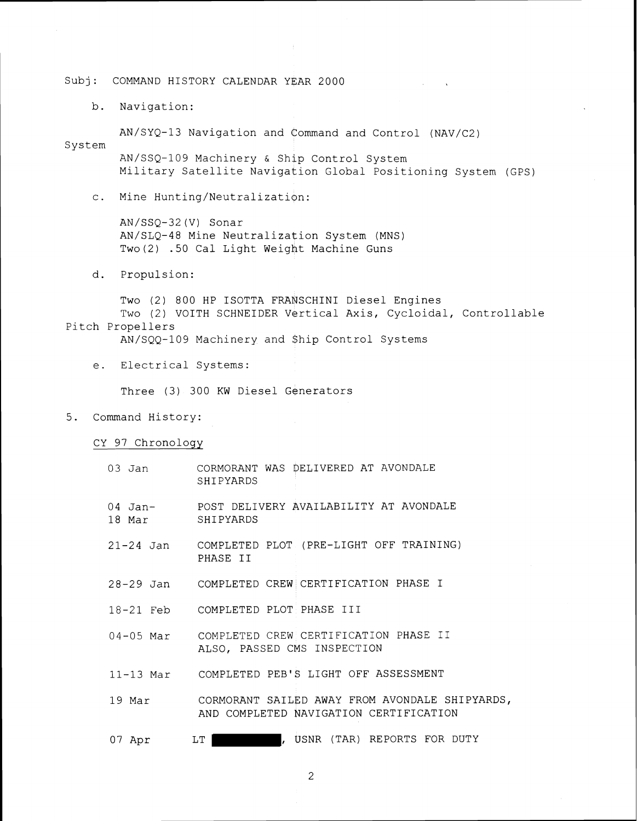b. Navigation:

AN/SYQ-13 Navigation and command and Control (NAV/C2)

System AN/SSQ-109 Machinery & Ship Control System Military Satellite Navigation Global Positioning System (GPS)

**Contractor** 

c. Mine Hunting/Neutralization:

AN/SSQ-32 (V) Sonar AN/SLQ-48 Mine Neutralization System (MNS) Two (2) -50 Cal Light Weight Machine Guns

d. Propulsion:

Two (2) 800 HP ISOTTA FRANSCHINI Diesel Engines Two (2) VOITH SCHNEIDER Vertical Axis, Cycloidal, Controllable Pitch Propellers

AN/SQQ-109 Machinery and \$hip Control Systems

e. Electrical Systems:

Three (3) 300 KW Diesel Generators

5. Command History:

CY 97 Chronology

|                  | 03 Jan CORMORANT WAS DELIVERED AT AVONDALE<br>SHIPYARDS                                            |
|------------------|----------------------------------------------------------------------------------------------------|
| 18 Mar SHIPYARDS | 04 Jan- POST DELIVERY AVAILABILITY AT AVONDALE                                                     |
|                  | 21-24 Jan COMPLETED PLOT (PRE-LIGHT OFF TRAINING)<br>PHASE II                                      |
|                  | 28-29 Jan COMPLETED CREW CERTIFICATION PHASE I                                                     |
|                  | 18-21 Feb COMPLETED PLOT PHASE III                                                                 |
|                  | 04-05 Mar COMPLETED CREW CERTIFICATION PHASE II<br>ALSO, PASSED CMS INSPECTION                     |
|                  | 11-13 Mar COMPLETED PEB'S LIGHT OFF ASSESSMENT                                                     |
|                  | 19 Mar 60 CORMORANT SAILED AWAY FROM AVONDALE SHIPYARDS,<br>AND COMPLETED NAVIGATION CERTIFICATION |
| 07 Apr LT        | , USNR (TAR) REPORTS FOR DUTY                                                                      |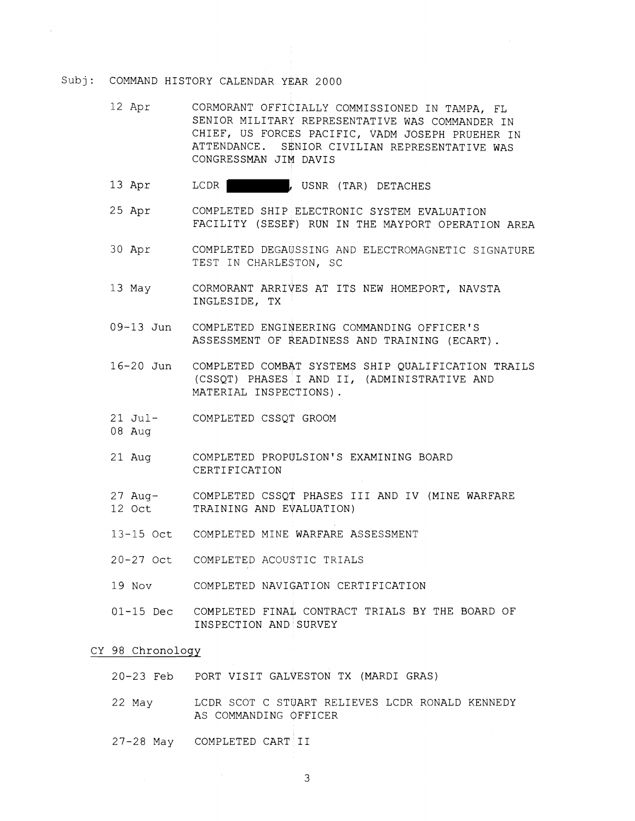- 12 Apr CORMORANT OFFICIALLY COMMISSIONED IN TAMPA, FL SENIOR MILITARY REPRESENTATIVE WAS COMMANDER IN CHIEF, US FORCES PACIFIC, VADM JOSEPH PRUEHER IN ATTENDANCE. SENIOR CIVILIAN REPRESENTATIVE WAS CONGRESSMAN JIM DAVIS
- 13 Apr LCDR LET , USNR (TAR) DETACHES
- 25 Apr COMPLETED SHIP ELECTRONIC SYSTEM EVALUATION FACILITY (SESEP) RUN IN THE MAYPORT OPERATION AREA
- 30 Apr COMPLETED DEGAUSSING AND ELECTROMAGNETIC SIGNATURE TEST IN CHARLESTON, SC
- 13 May CORMORANT ARRIVES AT ITS NEW HOMEPORT, NAVSTA INGLESIDE, TX
- 09-13 Jun COMPLETED ENGINEERING COMMANDING OFFICER'S ASSESSMENT OF READINESS AND TRAINING (ECART).
- 16-20 Jun COMPLETED COMBAT SYSTEMS SHIP QUALIFICATION TRAILS (CSSQT) PHASES I AND 11, (ADMINISTRATIVE AND MATERIAL INSPECTIONS).
- 21 Jul- COMPLETED CSSQT GROOM
- 08 Aug
- 21 Aug COMPLETED PROPULSION'S EXAMINING BOARD CERTIFICATION
- 27 Aug- COMPLETED CSSQT PHASES I11 AND IV (MINE WARFARE 12 Oct TRAINING AND EVALUATION)
- 13-15 Oct COMPLETED MINE WARFARE ASSESSMENT
- 20-27 Oct COMPLETED ACOU\$TIC TRIALS
- 19 Nov COMPLETED NAVIGATION CERTIFICATION
- 01-15 Dec COMPLETED FINAL CONTRACT TRIALS BY THE BOARD OF INSPECTION AND SURVEY

#### CY 98 Chronology

- 20-23 Feb PORT VISIT GALVESTON TX (MARDI GRAS)
- 22 May LCDR SCOT C STUART RELIEVES LCDR RONALD KENNEDY AS COMMANDING OFFICER
- 27-28 May COMPLETED CART I1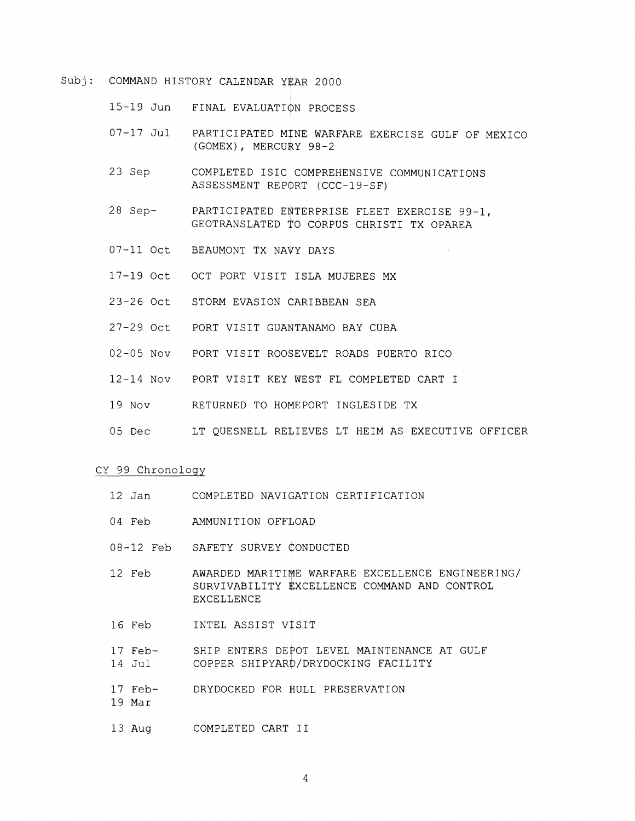15-19 Jun FINAL EVALUATIQN PROCESS

- 07-17 Jul PARTICIPATED MINE WARFARE EXERCISE GULF OF MEXICO (GOMEX) , MERCURY 98-2
- 23 Sep COMPLETED ISIC COMPREHENSIVE COMMUNICATIONS ASSESSMENT REPORT (CCC-19-SF)
- 28 Sep- PARTICIPATED EWTERPRISE FLEET EXERCISE 99-1, GEOTRANSLATED TO CORPUS CHRISTI TX OPAREA
- 07-11 Oct BEAUMONT TX NAVY DAYS
- 17-19 Oct OCT PORT VISIT ISLA MUJERES MX
- 23-26 Oct STORM EVASION CARIBBEAN SEA
- 27-29 Oct PORT VISIT GUANTANAMO BAY CUBA
- 02-05 NOV PORT VISIT ROOSEVELT ROADS PUERTO RICO
- 12-14 Nov PORT VISIT KEY WEST FL COMPLETED CART I
- 19 Nov RETURNED TO HOMEPORT INGLESIDE TX
- 05 Dec LT QUESNELL RELIEVES LT HEIM AS EXECUTIVE OFFICER

#### CY 99 Chronology

- 12 Jan COMPLETED NAVIGATION CERTIFICATION
- 04 Feb AMMUNITION OFFLOAD
- 08-12 Feb SAFETY SURVEY CONDUCTED
- 12 Feb AWARDED MARITIME WARFARE EXCELLENCE ENGINEERING/ SURVIVABILITY EXCELLENCE COMMAND AND CONTROL EXCELLENCE
- 16 Feb INTEL ASSIST VISIT
- 17 Feb- SHIP ENTERS DEPOT LEVEL MAINTENANCE AT GULF 4 Jul COPPER SHIPYARD/DRYDOCKING FACILITY
- 17 Feb- DRYDOCKED FOR HULL PRESERVATION
- 19 Mar
- 13 Aug COMPLETED CART I1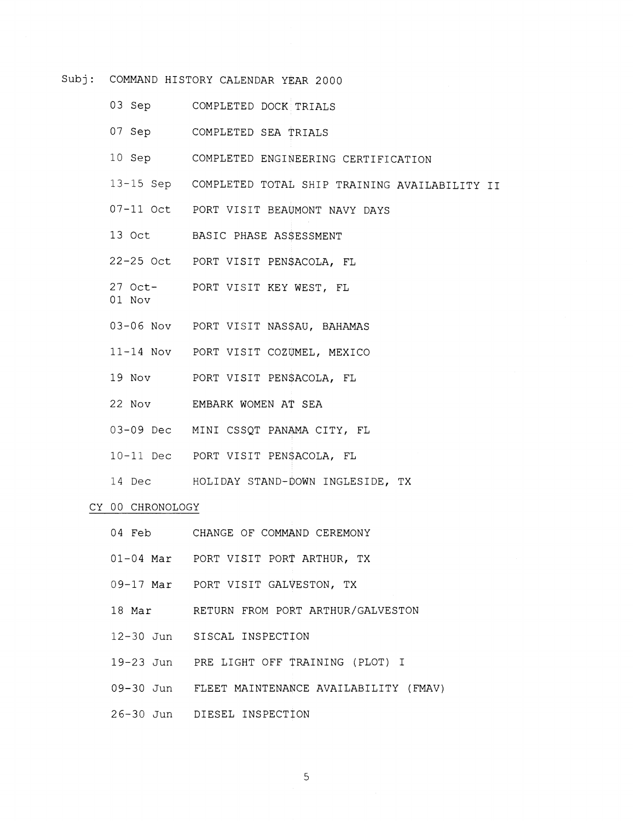- 03 Sep COMPLETED DOCK TRIALS
- 07 Sep COMPLETED SEA TRIALS
- 10 Sep COMPLETED ENGINEERING CERTIFICATION
- 13-15 Sep COMPLETED TOTAL SHIP TRAINING AVAILABILITY I1
- 07-11 Oct PORT VISIT BEAWMONT NAVY DAYS
- 13 Oct BASIC PHASE ASSESSMENT
- 22-25 Oct PORT VISIT PENSACOLA, FL
- 27 Oct- PORT VISIT KEY WEST, FL
- 01 Nov
- 03-06 Nov PORT VISIT NAS\$AU, BAHAMAS
- 11-14 NOV PORT VISIT COZUMEL, MEXICO
- 19 Nov PORT VISIT PENSACOLA, FL
- 22 Nov EMBARK WOMEN AT SEA
- 03-09 Dec MINI CSSQT PANAMA CITY, FL
- 10-11 Dec PORT VISIT PEN\$ACOLA, FL
- 14 Dec HOLIDAY STAND-DOWN INGLESIDE, TX

### CY 00 CHRONOLOGY

- 04 Feb CHANGE OF COMMAND CEREMONY 01-04 Mar PORT VISIT PORT ARTHUR, TX
- 09-17 Mar PORT VISIT GALVESTON, TX
- 18 Mar RETURN FROM PORT ARTHUR/GALVESTON
- 12-30 Jun SISCAL INSPECTION
- 19-23 Jun PRE LIGHT OFF TRAINING (PLOT) I
- 09-30 Jun FLEET MAINTENANCE AVAILABILITY (FMAV)
- 26-30 Jun DIESEL INSPECTION